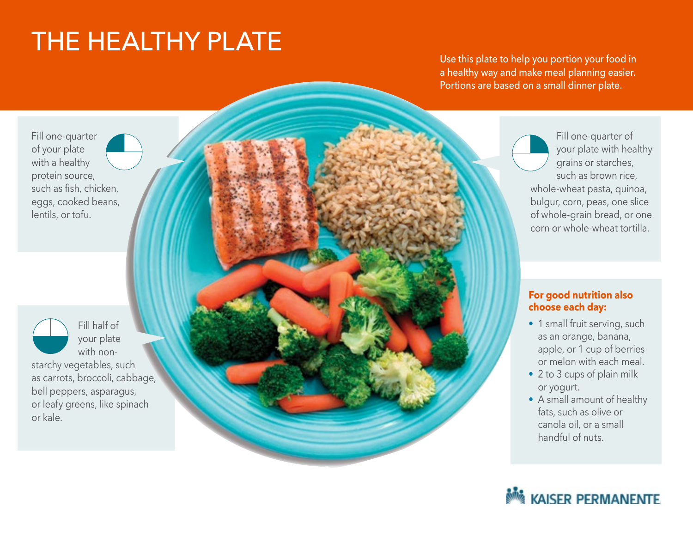## THE HEALTHY PLATE

Use this plate to help you portion your food in a healthy way and make meal planning easier. Portions are based on a small dinner plate.

Fill one-quarter of your plate with a healthy protein source, such as fish, chicken, eggs, cooked beans, lentils, or tofu.

Fill half of your plate with nonstarchy vegetables, such as carrots, broccoli, cabbage, bell peppers, asparagus, or leafy greens, like spinach or kale.

Fill one-quarter of your plate with healthy grains or starches, such as brown rice, whole-wheat pasta, quinoa, bulgur, corn, peas, one slice of whole-grain bread, or one corn or whole-wheat tortilla.

## **For good nutrition also choose each day:**

- 1 small fruit serving, such as an orange, banana, apple, or 1 cup of berries or melon with each meal.
- 2 to 3 cups of plain milk or yogurt.
- A small amount of healthy fats, such as olive or canola oil, or a small handful of nuts.